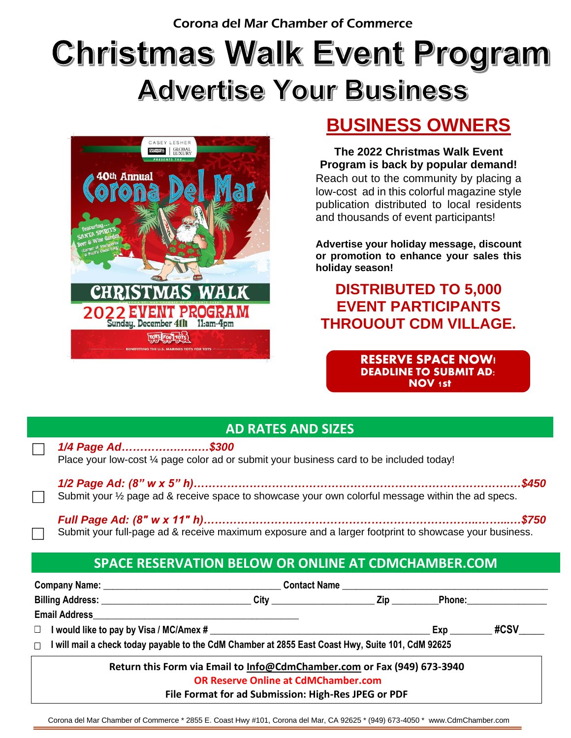# Christmas Walk Event Program **Advertise Your Business**



## **BUSINESS OWNERS**

**The 2022 Christmas Walk Event Program is back by popular demand!** Reach out to the community by placing a low-cost ad in this colorful magazine style publication distributed to local residents and thousands of event participants!

**Advertise your holiday message, discount or promotion to enhance your sales this holiday season!**

### **DISTRIBUTED TO 5,000 EVENT PARTICIPANTS THROUOUT CDM VILLAGE.**

**RESERVE SPACE NOW! DEADLINE TO SUBMIT AD: NOV 1st**

#### **AD RATES AND SIZES**

| 1/4 Page Ad\$300                                                                         |       |
|------------------------------------------------------------------------------------------|-------|
| Place your low-cost 1/4 page color ad or submit your business card to be included today! |       |
| $4/9$ Desse Adv $(0, 0, \ldots, 0, 0, 0)$                                                | a ifa |

*1/2 Page Ad: (8" w x 5" h)………………………………………………………………………….…\$450* Submit your ½ page ad & receive space to showcase your own colorful message within the ad specs.

| Submit your full-page ad & receive maximum exposure and a larger footprint to showcase your business. |
|-------------------------------------------------------------------------------------------------------|

#### **SPACE RESERVATION BELOW OR ONLINE AT CDMCHAMBER.COM**

|                                                                                                     | <b>Contact Name</b>                                                     |          |     |                                                                                                               |  |  |
|-----------------------------------------------------------------------------------------------------|-------------------------------------------------------------------------|----------|-----|---------------------------------------------------------------------------------------------------------------|--|--|
| Billing Address: ____________________________                                                       |                                                                         | City Zip |     | Phone: 2000 2000 2010 2020 2020 2020 2021 2021 2022 2021 2021 2021 2022 2021 2021 2021 2021 2022 2021 2021 20 |  |  |
|                                                                                                     |                                                                         |          |     |                                                                                                               |  |  |
|                                                                                                     |                                                                         |          | Exp | #CSV                                                                                                          |  |  |
| □ I will mail a check today payable to the CdM Chamber at 2855 East Coast Hwy, Suite 101, CdM 92625 |                                                                         |          |     |                                                                                                               |  |  |
|                                                                                                     | Return this Form via Email to Info@CdmChamber.com or Fax (949) 673-3940 |          |     |                                                                                                               |  |  |
|                                                                                                     | <b>OR Reserve Online at CdMChamber.com</b>                              |          |     |                                                                                                               |  |  |

 Corona del Mar Chamber of Commerce \* 2855 E. Coast Hwy #101, Corona del Mar, CA 92625 \* (949) 673-4050 \* www.CdmChamber.com **File Format for ad Submission: High-Res JPEG or PDF**